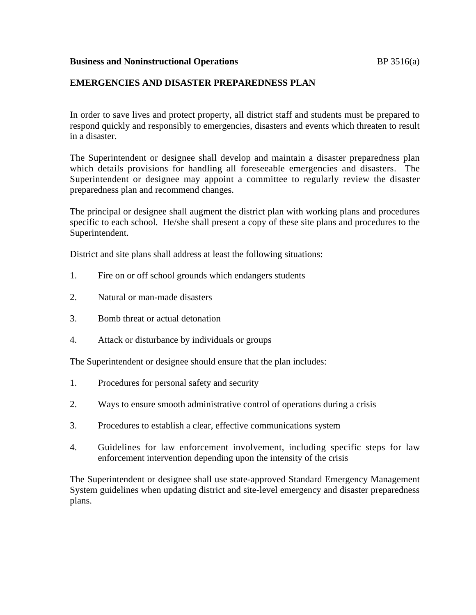## **Business and Noninstructional Operations BP** 3516(a)

## **EMERGENCIES AND DISASTER PREPAREDNESS PLAN**

In order to save lives and protect property, all district staff and students must be prepared to respond quickly and responsibly to emergencies, disasters and events which threaten to result in a disaster.

The Superintendent or designee shall develop and maintain a disaster preparedness plan which details provisions for handling all foreseeable emergencies and disasters. The Superintendent or designee may appoint a committee to regularly review the disaster preparedness plan and recommend changes.

The principal or designee shall augment the district plan with working plans and procedures specific to each school. He/she shall present a copy of these site plans and procedures to the Superintendent.

District and site plans shall address at least the following situations:

- 1. Fire on or off school grounds which endangers students
- 2. Natural or man-made disasters
- 3. Bomb threat or actual detonation
- 4. Attack or disturbance by individuals or groups

The Superintendent or designee should ensure that the plan includes:

- 1. Procedures for personal safety and security
- 2. Ways to ensure smooth administrative control of operations during a crisis
- 3. Procedures to establish a clear, effective communications system
- 4. Guidelines for law enforcement involvement, including specific steps for law enforcement intervention depending upon the intensity of the crisis

The Superintendent or designee shall use state-approved Standard Emergency Management System guidelines when updating district and site-level emergency and disaster preparedness plans.